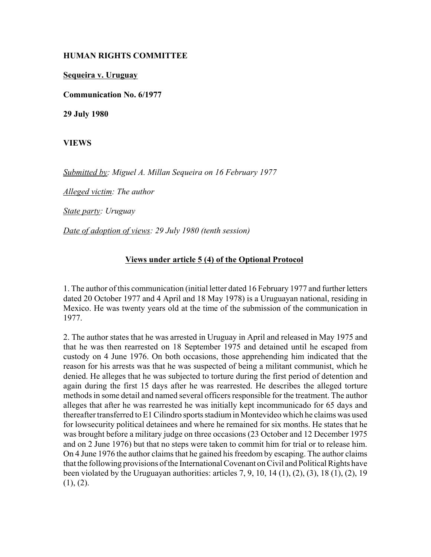## **HUMAN RIGHTS COMMITTEE**

**Sequeira v. Uruguay**

**Communication No. 6/1977**

**29 July 1980**

**VIEWS**

*Submitted by: Miguel A. Millan Sequeira on 16 February 1977* 

*Alleged victim: The author* 

*State party: Uruguay* 

*Date of adoption of views: 29 July 1980 (tenth session)* 

## **Views under article 5 (4) of the Optional Protocol**

1. The author of this communication (initial letter dated 16 February 1977 and further letters dated 20 October 1977 and 4 April and 18 May 1978) is a Uruguayan national, residing in Mexico. He was twenty years old at the time of the submission of the communication in 1977.

2. The author states that he was arrested in Uruguay in April and released in May 1975 and that he was then rearrested on 18 September 1975 and detained until he escaped from custody on 4 June 1976. On both occasions, those apprehending him indicated that the reason for his arrests was that he was suspected of being a militant communist, which he denied. He alleges that he was subjected to torture during the first period of detention and again during the first 15 days after he was rearrested. He describes the alleged torture methods in some detail and named several officers responsible for the treatment. The author alleges that after he was rearrested he was initially kept incommunicado for 65 days and thereafter transferred to E1 Cilindro sports stadium in Montevideo which he claims was used for lowsecurity political detainees and where he remained for six months. He states that he was brought before a military judge on three occasions (23 October and 12 December 1975 and on 2 June 1976) but that no steps were taken to commit him for trial or to release him. On 4 June 1976 the author claims that he gained his freedom by escaping. The author claims that the following provisions of the International Covenant on Civil and Political Rights have been violated by the Uruguayan authorities: articles  $7, 9, 10, 14 (1), (2), (3), 18 (1), (2), 19$  $(1), (2).$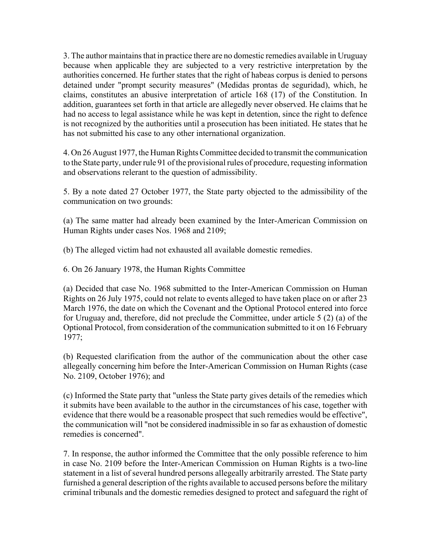3. The author maintains that in practice there are no domestic remedies available in Uruguay because when applicable they are subjected to a very restrictive interpretation by the authorities concerned. He further states that the right of habeas corpus is denied to persons detained under "prompt security measures" (Medidas prontas de seguridad), which, he claims, constitutes an abusive interpretation of article 168 (17) of the Constitution. In addition, guarantees set forth in that article are allegedly never observed. He claims that he had no access to legal assistance while he was kept in detention, since the right to defence is not recognized by the authorities until a prosecution has been initiated. He states that he has not submitted his case to any other international organization.

4. On 26 August 1977, the Human Rights Committee decided to transmit the communication to the State party, under rule 91 of the provisional rules of procedure, requesting information and observations relerant to the question of admissibility.

5. By a note dated 27 October 1977, the State party objected to the admissibility of the communication on two grounds:

(a) The same matter had already been examined by the Inter-American Commission on Human Rights under cases Nos. 1968 and 2109;

(b) The alleged victim had not exhausted all available domestic remedies.

6. On 26 January 1978, the Human Rights Committee

(a) Decided that case No. 1968 submitted to the Inter-American Commission on Human Rights on 26 July 1975, could not relate to events alleged to have taken place on or after 23 March 1976, the date on which the Covenant and the Optional Protocol entered into force for Uruguay and, therefore, did not preclude the Committee, under article 5 (2) (a) of the Optional Protocol, from consideration of the communication submitted to it on 16 February 1977;

(b) Requested clarification from the author of the communication about the other case allegeally concerning him before the Inter-American Commission on Human Rights (case No. 2109, October 1976); and

(c) Informed the State party that "unless the State party gives details of the remedies which it submits have been available to the author in the circumstances of his case, together with evidence that there would be a reasonable prospect that such remedies would be effective", the communication will "not be considered inadmissible in so far as exhaustion of domestic remedies is concerned".

7. In response, the author informed the Committee that the only possible reference to him in case No. 2109 before the Inter-American Commission on Human Rights is a two-line statement in a list of several hundred persons allegeally arbitrarily arrested. The State party furnished a general description of the rights available to accused persons before the military criminal tribunals and the domestic remedies designed to protect and safeguard the right of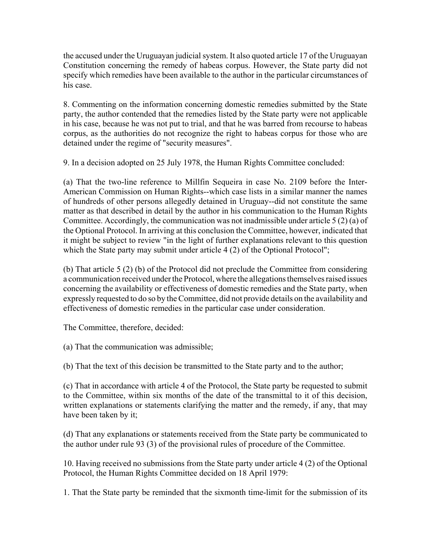the accused under the Uruguayan judicial system. It also quoted article 17 of the Uruguayan Constitution concerning the remedy of habeas corpus. However, the State party did not specify which remedies have been available to the author in the particular circumstances of his case.

8. Commenting on the information concerning domestic remedies submitted by the State party, the author contended that the remedies listed by the State party were not applicable in his case, because he was not put to trial, and that he was barred from recourse to habeas corpus, as the authorities do not recognize the right to habeas corpus for those who are detained under the regime of "security measures".

9. In a decision adopted on 25 July 1978, the Human Rights Committee concluded:

(a) That the two-line reference to Millfin Sequeira in case No. 2109 before the Inter-American Commission on Human Rights--which case lists in a similar manner the names of hundreds of other persons allegedly detained in Uruguay--did not constitute the same matter as that described in detail by the author in his communication to the Human Rights Committee. Accordingly, the communication was not inadmissible under article 5 (2) (a) of the Optional Protocol. In arriving at this conclusion the Committee, however, indicated that it might be subject to review "in the light of further explanations relevant to this question which the State party may submit under article 4 (2) of the Optional Protocol";

(b) That article 5 (2) (b) of the Protocol did not preclude the Committee from considering a communication received under the Protocol, where the allegations themselves raised issues concerning the availability or effectiveness of domestic remedies and the State party, when expressly requested to do so by the Committee, did not provide details on the availability and effectiveness of domestic remedies in the particular case under consideration.

The Committee, therefore, decided:

(a) That the communication was admissible;

(b) That the text of this decision be transmitted to the State party and to the author;

(c) That in accordance with article 4 of the Protocol, the State party be requested to submit to the Committee, within six months of the date of the transmittal to it of this decision, written explanations or statements clarifying the matter and the remedy, if any, that may have been taken by it;

(d) That any explanations or statements received from the State party be communicated to the author under rule 93 (3) of the provisional rules of procedure of the Committee.

10. Having received no submissions from the State party under article 4 (2) of the Optional Protocol, the Human Rights Committee decided on 18 April 1979:

1. That the State party be reminded that the sixmonth time-limit for the submission of its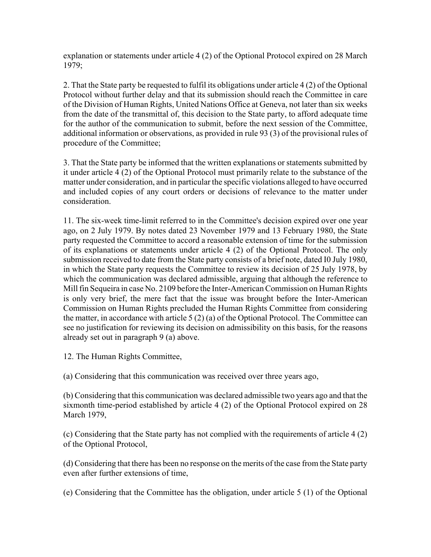explanation or statements under article 4 (2) of the Optional Protocol expired on 28 March 1979;

2. That the State party be requested to fulfil its obligations under article 4 (2) of the Optional Protocol without further delay and that its submission should reach the Committee in care of the Division of Human Rights, United Nations Office at Geneva, not later than six weeks from the date of the transmittal of, this decision to the State party, to afford adequate time for the author of the communication to submit, before the next session of the Committee, additional information or observations, as provided in rule 93 (3) of the provisional rules of procedure of the Committee;

3. That the State party be informed that the written explanations or statements submitted by it under article 4 (2) of the Optional Protocol must primarily relate to the substance of the matter under consideration, and in particular the specific violations alleged to have occurred and included copies of any court orders or decisions of relevance to the matter under consideration.

11. The six-week time-limit referred to in the Committee's decision expired over one year ago, on 2 July 1979. By notes dated 23 November 1979 and 13 February 1980, the State party requested the Committee to accord a reasonable extension of time for the submission of its explanations or statements under article 4 (2) of the Optional Protocol. The only submission received to date from the State party consists of a brief note, dated I0 July 1980, in which the State party requests the Committee to review its decision of 25 July 1978, by which the communication was declared admissible, arguing that although the reference to Mill fin Sequeira in case No. 2109 before the Inter-American Commission on Human Rights is only very brief, the mere fact that the issue was brought before the Inter-American Commission on Human Rights precluded the Human Rights Committee from considering the matter, in accordance with article 5 (2) (a) of the Optional Protocol. The Committee can see no justification for reviewing its decision on admissibility on this basis, for the reasons already set out in paragraph 9 (a) above.

12. The Human Rights Committee,

(a) Considering that this communication was received over three years ago,

(b) Considering that this communication was declared admissible two years ago and that the sixmonth time-period established by article 4 (2) of the Optional Protocol expired on 28 March 1979,

(c) Considering that the State party has not complied with the requirements of article 4 (2) of the Optional Protocol,

(d) Considering that there has been no response on the merits of the case from the State party even after further extensions of time,

(e) Considering that the Committee has the obligation, under article 5 (1) of the Optional